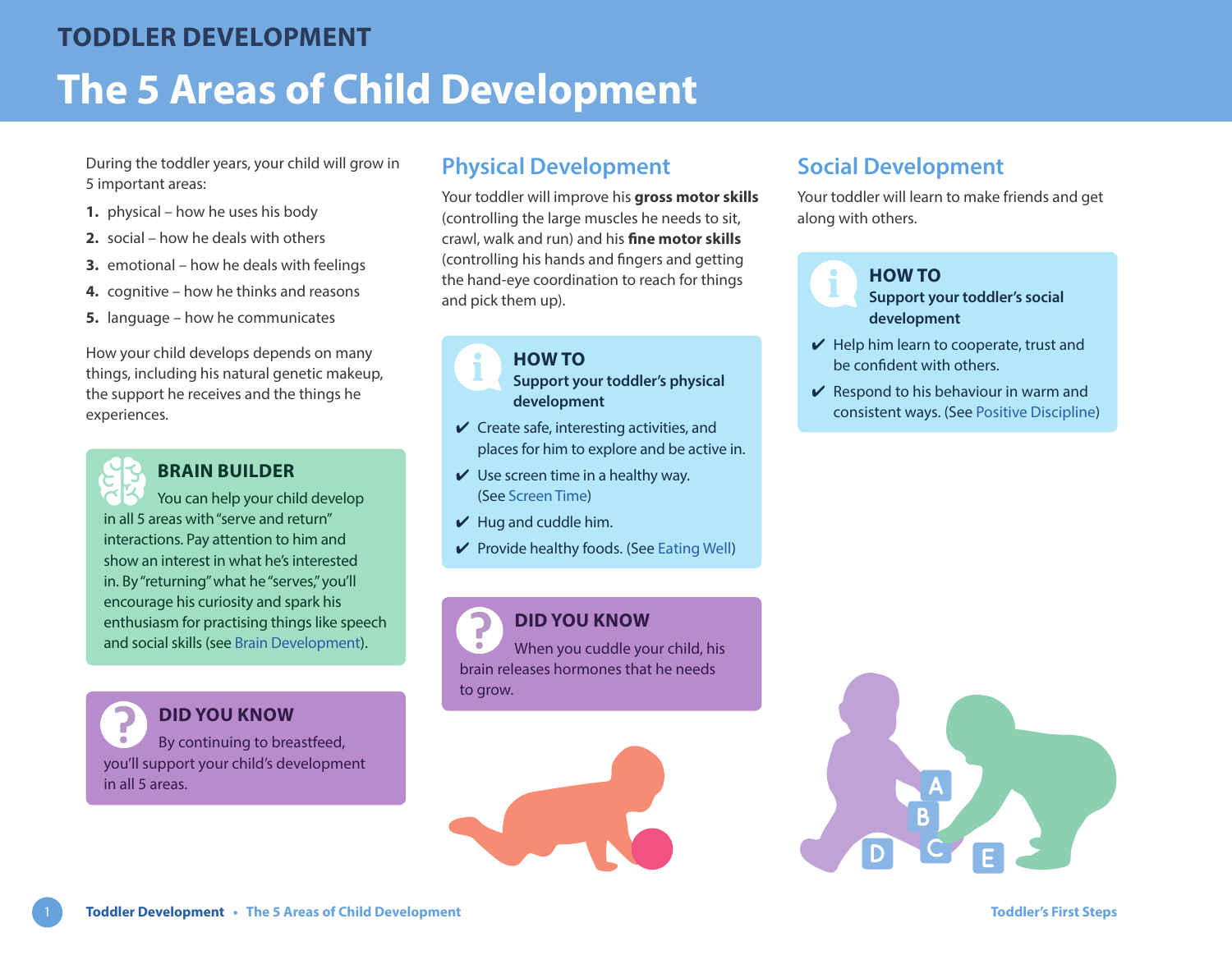During the toddler years, your child will grow in 5 important areas:

- **1.** physical how he uses his body
- **2.** social how he deals with others
- **3.** emotional how he deals with feelings
- **4.** cognitive how he thinks and reasons
- **5.** language how he communicates

How your child develops depends on many things, including his natural genetic makeup, the support he receives and the things he experiences.

# **BRAIN BUILDER**

You can help your child develop in all 5 areas with "serve and return" interactions. Pay attention to him and show an interest in what he's interested in. By "returning" what he "serves," you'll encourage his curiosity and spark his enthusiasm for practising things like speech and social skills (see [Brain Development](https://www.healthlinkbc.ca/sites/default/files/documents/TFS_brain-development.pdf)).

**DID YOU KNOW** By continuing to breastfeed, you'll support your child's development in all 5 areas.

## **Physical Development**

Your toddler will improve his **gross motor skills** (controlling the large muscles he needs to sit, crawl, walk and run) and his **fine motor skills** (controlling his hands and fingers and getting the hand-eye coordination to reach for things and pick them up).

> **HOW TO Support your toddler's physical development**

- $\checkmark$  Create safe, interesting activities, and places for him to explore and be active in.
- $\vee$  Use screen time in a healthy way. (See [Screen Time\)](https://www.healthlinkbc.ca/sites/default/files/documents/TFS_screen-time.pdf)
- $\vee$  Hug and cuddle him.
- $\vee$  Provide healthy foods. (See [Eating Well\)](https://www.healthlinkbc.ca/sites/default/files/documents/TFS_eating-well.pdf)

**DID YOU KNOW** When you cuddle your child, his brain releases hormones that he needs to grow.



# **Social Development**

Your toddler will learn to make friends and get along with others.



### **HOW TO**

**Support your toddler's social development**

- $\vee$  Help him learn to cooperate, trust and be confident with others.
- $\vee$  Respond to his behaviour in warm and consistent ways. (See [Positive Discipline](https://www.healthlinkbc.ca/sites/default/files/documents/TFS_positive-discipline.pdf))